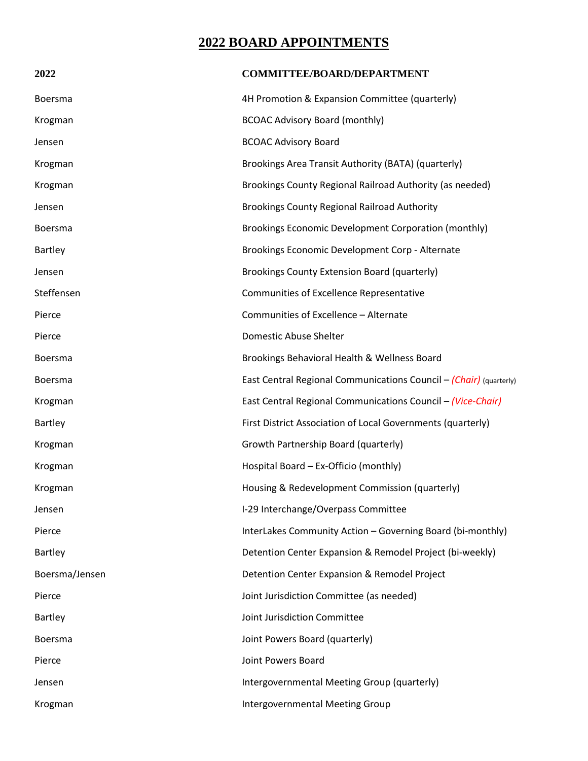## **2022 BOARD APPOINTMENTS**

| 2022           | <b>COMMITTEE/BOARD/DEPARTMENT</b>                                  |
|----------------|--------------------------------------------------------------------|
| <b>Boersma</b> | 4H Promotion & Expansion Committee (quarterly)                     |
| Krogman        | <b>BCOAC Advisory Board (monthly)</b>                              |
| Jensen         | <b>BCOAC Advisory Board</b>                                        |
| Krogman        | Brookings Area Transit Authority (BATA) (quarterly)                |
| Krogman        | Brookings County Regional Railroad Authority (as needed)           |
| Jensen         | <b>Brookings County Regional Railroad Authority</b>                |
| <b>Boersma</b> | Brookings Economic Development Corporation (monthly)               |
| Bartley        | Brookings Economic Development Corp - Alternate                    |
| Jensen         | Brookings County Extension Board (quarterly)                       |
| Steffensen     | Communities of Excellence Representative                           |
| Pierce         | Communities of Excellence - Alternate                              |
| Pierce         | Domestic Abuse Shelter                                             |
| Boersma        | Brookings Behavioral Health & Wellness Board                       |
| Boersma        | East Central Regional Communications Council – (Chair) (quarterly) |
| Krogman        | East Central Regional Communications Council - (Vice-Chair)        |
| Bartley        | First District Association of Local Governments (quarterly)        |
| Krogman        | Growth Partnership Board (quarterly)                               |
| Krogman        | Hospital Board - Ex-Officio (monthly)                              |
| Krogman        | Housing & Redevelopment Commission (quarterly)                     |
| Jensen         | I-29 Interchange/Overpass Committee                                |
| Pierce         | InterLakes Community Action - Governing Board (bi-monthly)         |
| Bartley        | Detention Center Expansion & Remodel Project (bi-weekly)           |
| Boersma/Jensen | Detention Center Expansion & Remodel Project                       |
| Pierce         | Joint Jurisdiction Committee (as needed)                           |
| <b>Bartley</b> | Joint Jurisdiction Committee                                       |
| <b>Boersma</b> | Joint Powers Board (quarterly)                                     |
| Pierce         | Joint Powers Board                                                 |
| Jensen         | Intergovernmental Meeting Group (quarterly)                        |
| Krogman        | Intergovernmental Meeting Group                                    |